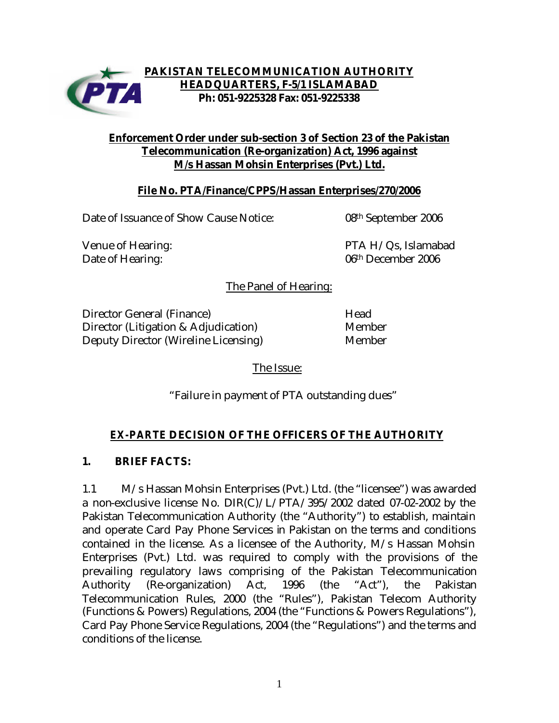

## **PAKISTAN TELECOMMUNICATION AUTHORITY HEADQUARTERS, F-5/1 ISLAMABAD Ph: 051-9225328 Fax: 051-9225338**

### **Enforcement Order under sub-section 3 of Section 23 of the Pakistan Telecommunication (Re-organization) Act, 1996 against M/s Hassan Mohsin Enterprises (Pvt.) Ltd.**

## **File No. PTA/Finance/CPPS/Hassan Enterprises/270/2006**

Date of Issuance of Show Cause Notice: 08<sup>th</sup> September 2006

Venue of Hearing:  $PTA H/Qs$ , Islamabad Date of Hearing: 06<sup>th</sup> December 2006

The Panel of Hearing:

Director General (Finance) Head Director (Litigation & Adjudication) Member Deputy Director (Wireline Licensing) Member

The Issue:

"Failure in payment of PTA outstanding dues"

# *EX-PARTE* **DECISION OF THE OFFICERS OF THE AUTHORITY**

# **1. BRIEF FACTS:**

1.1 M/s Hassan Mohsin Enterprises (Pvt.) Ltd. (the "licensee") was awarded a non-exclusive license No. DIR(C)/L/PTA/395/2002 dated 07-02-2002 by the Pakistan Telecommunication Authority (the "Authority") to establish, maintain and operate Card Pay Phone Services in Pakistan on the terms and conditions contained in the license. As a licensee of the Authority, M/s Hassan Mohsin Enterprises (Pvt.) Ltd. was required to comply with the provisions of the prevailing regulatory laws comprising of the Pakistan Telecommunication Authority (Re-organization) Act, 1996 (the "Act"), the Pakistan Telecommunication Rules, 2000 (the "Rules"), Pakistan Telecom Authority (Functions & Powers) Regulations, 2004 (the "Functions & Powers Regulations"), Card Pay Phone Service Regulations, 2004 (the "Regulations") and the terms and conditions of the license.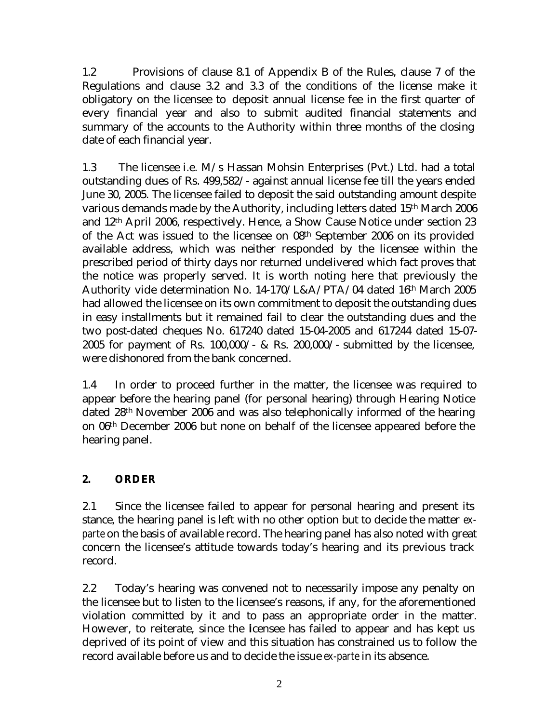1.2 Provisions of clause 8.1 of Appendix B of the Rules, clause 7 of the Regulations and clause 3.2 and 3.3 of the conditions of the license make it obligatory on the licensee to deposit annual license fee in the first quarter of every financial year and also to submit audited financial statements and summary of the accounts to the Authority within three months of the closing date of each financial year.

1.3 The licensee i.e. M/s Hassan Mohsin Enterprises (Pvt.) Ltd. had a total outstanding dues of Rs. 499,582/- against annual license fee till the years ended June 30, 2005. The licensee failed to deposit the said outstanding amount despite various demands made by the Authority, including letters dated 15th March 2006 and 12th April 2006, respectively. Hence, a Show Cause Notice under section 23 of the Act was issued to the licensee on 08th September 2006 on its provided available address, which was neither responded by the licensee within the prescribed period of thirty days nor returned undelivered which fact proves that the notice was properly served. It is worth noting here that previously the Authority vide determination No. 14-170/L&A/PTA/04 dated 16th March 2005 had allowed the licensee on its own commitment to deposit the outstanding dues in easy installments but it remained fail to clear the outstanding dues and the two post-dated cheques No. 617240 dated 15-04-2005 and 617244 dated 15-07- 2005 for payment of Rs.  $100,000/$ - & Rs. 200,000/- submitted by the licensee, were dishonored from the bank concerned.

1.4 In order to proceed further in the matter, the licensee was required to appear before the hearing panel (for personal hearing) through Hearing Notice dated 28th November 2006 and was also telephonically informed of the hearing on 06th December 2006 but none on behalf of the licensee appeared before the hearing panel.

# **2. ORDER**

2.1 Since the licensee failed to appear for personal hearing and present its stance, the hearing panel is left with no other option but to decide the matter *exparte* on the basis of available record. The hearing panel has also noted with great concern the licensee's attitude towards today's hearing and its previous track record.

2.2 Today's hearing was convened not to necessarily impose any penalty on the licensee but to listen to the licensee's reasons, if any, for the aforementioned violation committed by it and to pass an appropriate order in the matter. However, to reiterate, since the licensee has failed to appear and has kept us deprived of its point of view and this situation has constrained us to follow the record available before us and to decide the issue *ex-parte* in its absence.